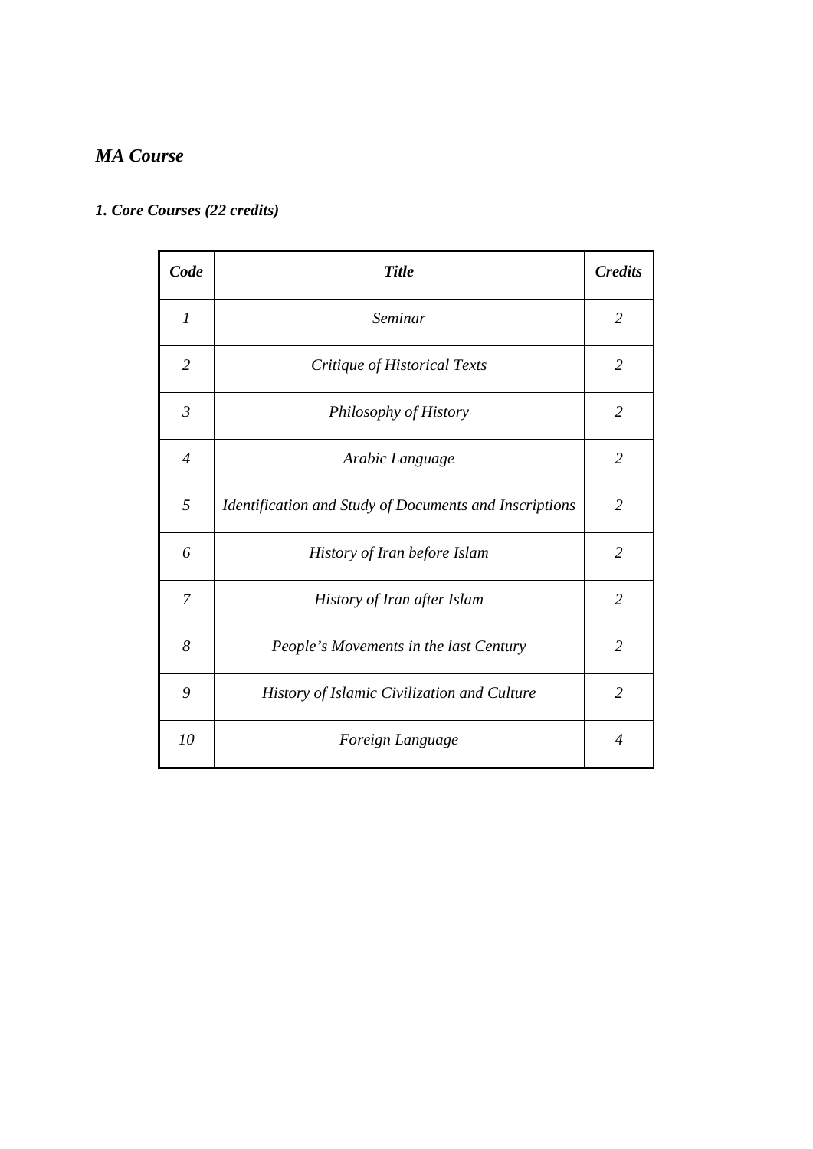### *MA Course*

## *1. Core Courses (22 credits)*

| Code           | <b>Title</b>                                           | <b>Credits</b>           |
|----------------|--------------------------------------------------------|--------------------------|
| $\mathcal{I}$  | Seminar                                                | $\overline{2}$           |
| $\overline{2}$ | Critique of Historical Texts                           | $\overline{2}$           |
| $\mathfrak{Z}$ | Philosophy of History                                  | 2                        |
| $\overline{4}$ | Arabic Language                                        | $\overline{2}$           |
| 5              | Identification and Study of Documents and Inscriptions | $\overline{2}$           |
| 6              | History of Iran before Islam                           | $\overline{2}$           |
| 7              | History of Iran after Islam                            | $\overline{2}$           |
| 8              | People's Movements in the last Century                 | 2                        |
| 9              | History of Islamic Civilization and Culture            | $\overline{2}$           |
| 10             | Foreign Language                                       | $\boldsymbol{\varDelta}$ |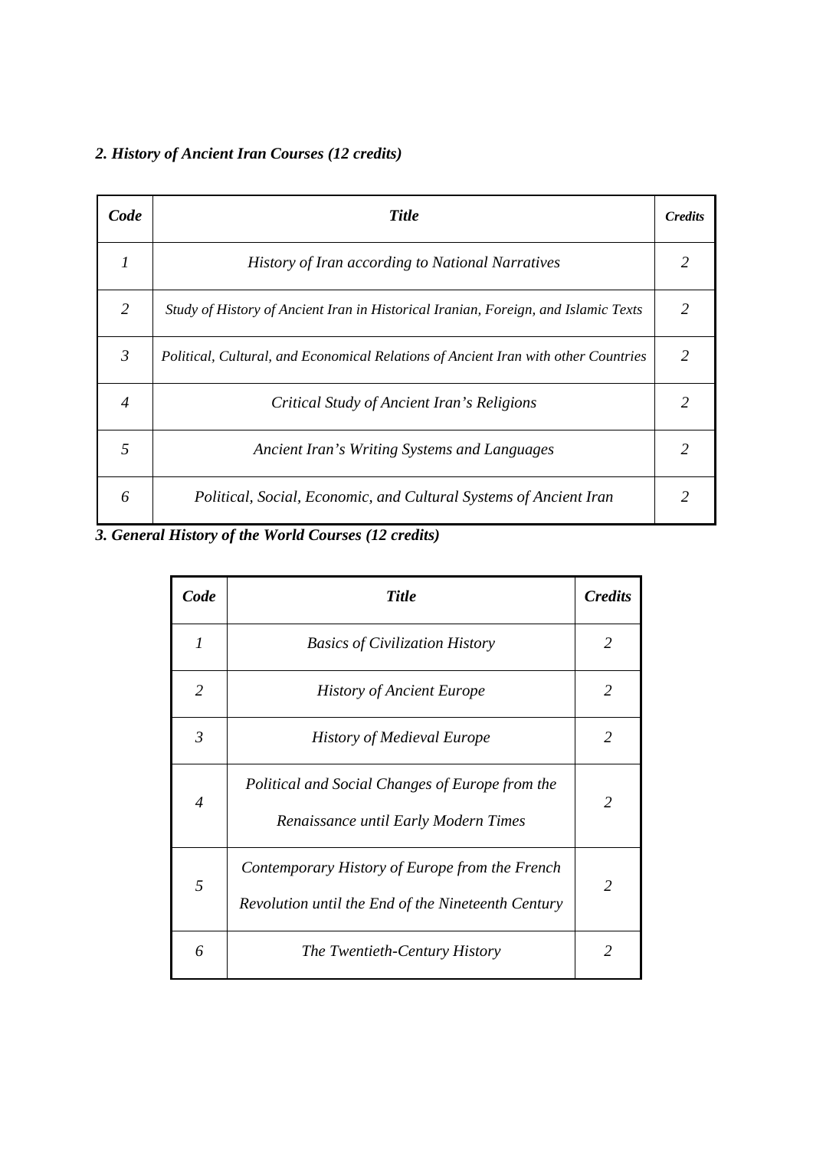## *2. History of Ancient Iran Courses (12 credits)*

| Code             | <b>Title</b>                                                                       | <b>Credits</b> |
|------------------|------------------------------------------------------------------------------------|----------------|
|                  | <b>History of Iran according to National Narratives</b>                            |                |
| 2                | Study of History of Ancient Iran in Historical Iranian, Foreign, and Islamic Texts |                |
| $\mathfrak{Z}$   | Political, Cultural, and Economical Relations of Ancient Iran with other Countries | 2              |
| $\boldsymbol{4}$ | Critical Study of Ancient Iran's Religions                                         |                |
| $\overline{5}$   | Ancient Iran's Writing Systems and Languages                                       |                |
| 6                | Political, Social, Economic, and Cultural Systems of Ancient Iran                  |                |

# *3. General History of the World Courses (12 credits)*

| Code                        | <b>Title</b>                                                                                         | <i><b>Credits</b></i> |
|-----------------------------|------------------------------------------------------------------------------------------------------|-----------------------|
| $\mathcal{I}_{\mathcal{I}}$ | <b>Basics of Civilization History</b>                                                                | 2                     |
| $\overline{2}$              | <b>History of Ancient Europe</b>                                                                     | $\mathcal{L}$         |
| 3                           | <b>History of Medieval Europe</b>                                                                    | 2                     |
| $\overline{4}$              | Political and Social Changes of Europe from the<br>Renaissance until Early Modern Times              | 2                     |
| 5                           | Contemporary History of Europe from the French<br>Revolution until the End of the Nineteenth Century | 2                     |
| 6                           | The Twentieth-Century History                                                                        | $\mathcal{L}$         |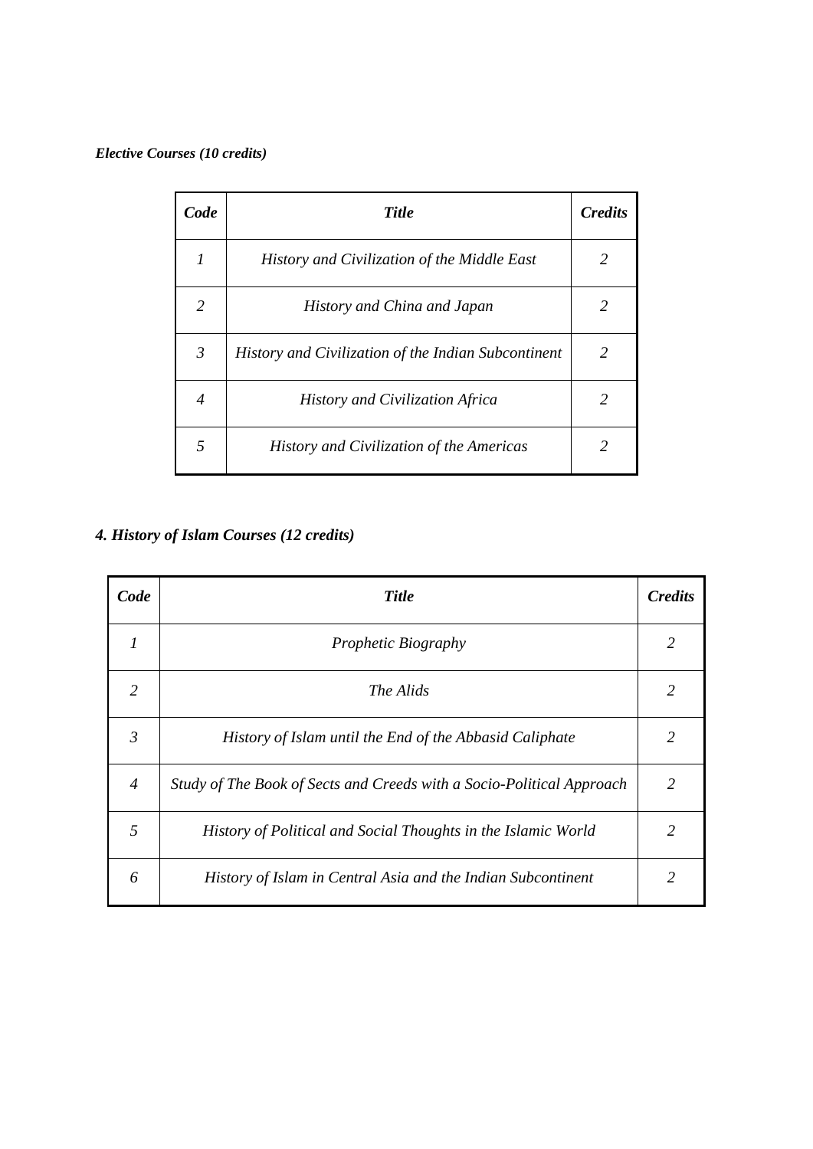#### *Elective Courses (10 credits)*

| Code           | <b>Title</b>                                        | <b>Credits</b> |
|----------------|-----------------------------------------------------|----------------|
| 1              | History and Civilization of the Middle East         | $\mathfrak{D}$ |
| 2              | History and China and Japan                         | $\mathcal{L}$  |
| $\mathfrak{Z}$ | History and Civilization of the Indian Subcontinent | $\mathfrak{D}$ |
| $\overline{4}$ | History and Civilization Africa                     | $\mathcal{L}$  |
| 5              | History and Civilization of the Americas            | $\mathcal{L}$  |

# *4. History of Islam Courses (12 credits)*

| Code           | <b>Title</b>                                                          | <b>Credits</b> |
|----------------|-----------------------------------------------------------------------|----------------|
| 1              | <i>Prophetic Biography</i>                                            | 2              |
| $\mathcal{L}$  | The Alids                                                             | $\overline{2}$ |
| $\mathfrak{Z}$ | History of Islam until the End of the Abbasid Caliphate               | $\mathcal{L}$  |
| $\overline{4}$ | Study of The Book of Sects and Creeds with a Socio-Political Approach | $\mathcal{L}$  |
| 5              | History of Political and Social Thoughts in the Islamic World         | 2              |
| 6              | History of Islam in Central Asia and the Indian Subcontinent          | $\mathcal{L}$  |